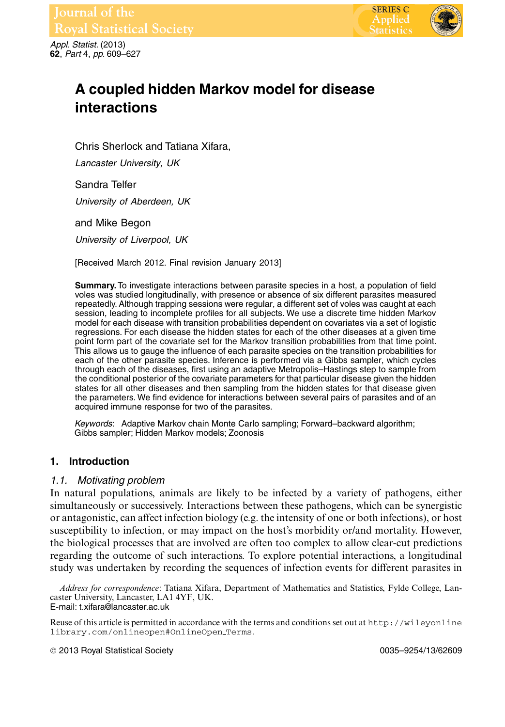

*Appl. Statist.* (2013) **62**, *Part* 4, *pp.* 609–627

# **A coupled hidden Markov model for disease interactions**

Chris Sherlock and Tatiana Xifara, *Lancaster University, UK*

Sandra Telfer *University of Aberdeen, UK*

and Mike Begon

*University of Liverpool, UK*

[Received March 2012. Final revision January 2013]

**Summary.**To investigate interactions between parasite species in a host, a population of field voles was studied longitudinally, with presence or absence of six different parasites measured repeatedly. Although trapping sessions were regular, a different set of voles was caught at each session, leading to incomplete profiles for all subjects. We use a discrete time hidden Markov model for each disease with transition probabilities dependent on covariates via a set of logistic regressions. For each disease the hidden states for each of the other diseases at a given time point form part of the covariate set for the Markov transition probabilities from that time point. This allows us to gauge the influence of each parasite species on the transition probabilities for each of the other parasite species. Inference is performed via a Gibbs sampler, which cycles through each of the diseases, first using an adaptive Metropolis–Hastings step to sample from the conditional posterior of the covariate parameters for that particular disease given the hidden states for all other diseases and then sampling from the hidden states for that disease given the parameters. We find evidence for interactions between several pairs of parasites and of an acquired immune response for two of the parasites.

*Keywords*: Adaptive Markov chain Monte Carlo sampling; Forward–backward algorithm; Gibbs sampler; Hidden Markov models; Zoonosis

## **1. Introduction**

#### *1.1. Motivating problem*

In natural populations, animals are likely to be infected by a variety of pathogens, either simultaneously or successively. Interactions between these pathogens, which can be synergistic or antagonistic, can affect infection biology (e.g. the intensity of one or both infections), or host susceptibility to infection, or may impact on the host's morbidity or/and mortality. However, the biological processes that are involved are often too complex to allow clear-cut predictions regarding the outcome of such interactions. To explore potential interactions, a longitudinal study was undertaken by recording the sequences of infection events for different parasites in

*Address for correspondence*: Tatiana Xifara, Department of Mathematics and Statistics, Fylde College, Lancaster University, Lancaster, LA1 4YF, UK. E-mail: t.xifara@lancaster.ac.uk

Reuse of this article is permitted in accordance with the terms and conditions set out at http://wileyonline library.com/onlineopen#OnlineOpen Terms.

© 2013 Royal Statistical Society 0035–9254/13/62609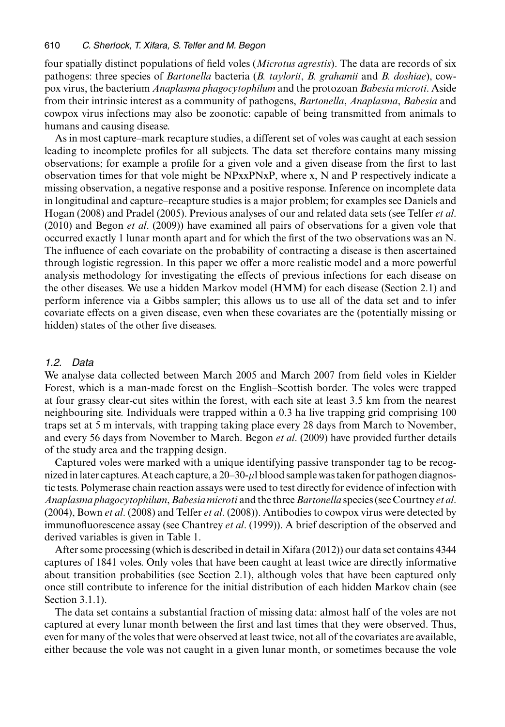four spatially distinct populations of field voles (*Microtus agrestis*). The data are records of six pathogens: three species of *Bartonella* bacteria (*B. taylorii*, *B. grahamii* and *B. doshiae*), cowpox virus, the bacterium *Anaplasma phagocytophilum* and the protozoan *Babesia microti*. Aside from their intrinsic interest as a community of pathogens, *Bartonella*, *Anaplasma*, *Babesia* and cowpox virus infections may also be zoonotic: capable of being transmitted from animals to humans and causing disease.

As in most capture–mark recapture studies, a different set of voles was caught at each session leading to incomplete profiles for all subjects. The data set therefore contains many missing observations; for example a profile for a given vole and a given disease from the first to last observation times for that vole might be NPxxPNxP, where x, N and P respectively indicate a missing observation, a negative response and a positive response. Inference on incomplete data in longitudinal and capture–recapture studies is a major problem; for examples see Daniels and Hogan (2008) and Pradel (2005). Previous analyses of our and related data sets (see Telfer *et al*. (2010) and Begon *et al*. (2009)) have examined all pairs of observations for a given vole that occurred exactly 1 lunar month apart and for which the first of the two observations was an N. The influence of each covariate on the probability of contracting a disease is then ascertained through logistic regression. In this paper we offer a more realistic model and a more powerful analysis methodology for investigating the effects of previous infections for each disease on the other diseases. We use a hidden Markov model (HMM) for each disease (Section 2.1) and perform inference via a Gibbs sampler; this allows us to use all of the data set and to infer covariate effects on a given disease, even when these covariates are the (potentially missing or hidden) states of the other five diseases.

### *1.2. Data*

We analyse data collected between March 2005 and March 2007 from field voles in Kielder Forest, which is a man-made forest on the English–Scottish border. The voles were trapped at four grassy clear-cut sites within the forest, with each site at least 3.5 km from the nearest neighbouring site. Individuals were trapped within a 0.3 ha live trapping grid comprising 100 traps set at 5 m intervals, with trapping taking place every 28 days from March to November, and every 56 days from November to March. Begon *et al*. (2009) have provided further details of the study area and the trapping design.

Captured voles were marked with a unique identifying passive transponder tag to be recognized in later captures. At each capture, a  $20-30-\mu l$  blood sample was taken for pathogen diagnostic tests. Polymerase chain reaction assays were used to test directly for evidence of infection with *Anaplasma phagocytophilum*,*Babesia microti* and the three*Bartonella* species (see Courtney *et al*. (2004), Bown *et al*. (2008) and Telfer *et al*. (2008)). Antibodies to cowpox virus were detected by immunofluorescence assay (see Chantrey *et al*. (1999)). A brief description of the observed and derived variables is given in Table 1.

After some processing (which is described in detail in Xifara (2012)) our data set contains 4344 captures of 1841 voles. Only voles that have been caught at least twice are directly informative about transition probabilities (see Section 2.1), although voles that have been captured only once still contribute to inference for the initial distribution of each hidden Markov chain (see Section 3.1.1).

The data set contains a substantial fraction of missing data: almost half of the voles are not captured at every lunar month between the first and last times that they were observed. Thus, even for many of the voles that were observed at least twice, not all of the covariates are available, either because the vole was not caught in a given lunar month, or sometimes because the vole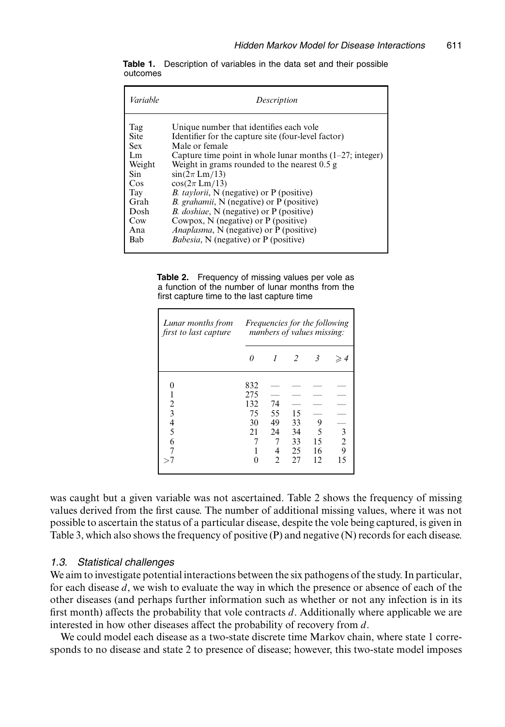| Variable        | Description                                                  |
|-----------------|--------------------------------------------------------------|
| Tag             | Unique number that identifies each vole                      |
| <b>Site</b>     | Identifier for the capture site (four-level factor)          |
| <b>Sex</b>      | Male or female                                               |
| Lm.             | Capture time point in whole lunar months $(1-27)$ ; integer) |
| Weight          | Weight in grams rounded to the nearest $0.5$ g               |
| Sin.            | $\sin(2\pi \text{ Lm}/13)$                                   |
| $\cos$          | $\cos(2\pi \mathrm{Lm}/13)$                                  |
| Tay             | <i>B. taylorii</i> , N (negative) or P (positive)            |
| Grah            | <i>B. grahamii, N</i> (negative) or P (positive)             |
| Dosh            | <i>B. doshiae, N</i> (negative) or P (positive)              |
| C <sub>ow</sub> | Cowpox, $N$ (negative) or $P$ (positive)                     |
| Ana             | <i>Anaplasma, N</i> (negative) or P (positive)               |
| Bab             | <i>Babesia</i> , N (negative) or P (positive)                |

**Table 1.** Description of variables in the data set and their possible outcomes

| <b>Table 2.</b> Frequency of missing values per vole as |
|---------------------------------------------------------|
| a function of the number of lunar months from the       |
| first capture time to the last capture time             |

| Lunar months from<br>first to last capture | Frequencies for the following<br>numbers of values missing: |                                |                                  |                                            |                          |
|--------------------------------------------|-------------------------------------------------------------|--------------------------------|----------------------------------|--------------------------------------------|--------------------------|
|                                            |                                                             |                                | $\mathfrak{D}$                   | $\mathfrak{Z}$                             |                          |
| 2<br>3<br>4<br>5<br>6                      | 832<br>275<br>132<br>75<br>30<br>21                         | 74<br>55<br>49<br>24<br>4<br>2 | 15<br>33<br>34<br>33<br>25<br>27 | $\overline{\mathcal{L}}$<br>15<br>16<br>12 | $\frac{3}{2}$<br>9<br>15 |

was caught but a given variable was not ascertained. Table 2 shows the frequency of missing values derived from the first cause. The number of additional missing values, where it was not possible to ascertain the status of a particular disease, despite the vole being captured, is given in Table 3, which also shows the frequency of positive (P) and negative (N) records for each disease.

#### *1.3. Statistical challenges*

We aim to investigate potential interactions between the six pathogens of the study. In particular, for each disease d, we wish to evaluate the way in which the presence or absence of each of the other diseases (and perhaps further information such as whether or not any infection is in its first month) affects the probability that vole contracts d. Additionally where applicable we are interested in how other diseases affect the probability of recovery from d.

We could model each disease as a two-state discrete time Markov chain, where state 1 corresponds to no disease and state 2 to presence of disease; however, this two-state model imposes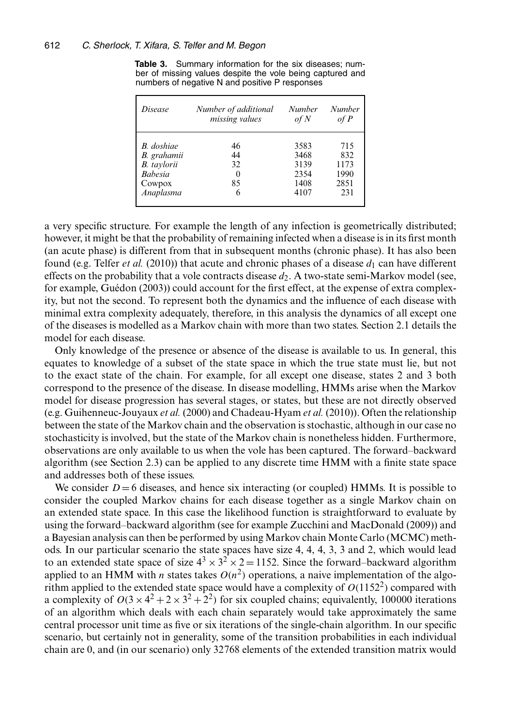| <i>Disease</i>     | Number of additional | <b>Number</b> | <b>Number</b> |
|--------------------|----------------------|---------------|---------------|
|                    | missing values       | of N          | of P          |
| <b>B</b> . doshiae | 46                   | 3583          | 715           |
| B. grahamii        | 44                   | 3468          | 832           |
| <b>B.</b> taylorii | 32                   | 3139          | 1173          |
| <b>Babesia</b>     | 0                    | 2354          | 1990          |
| Cowpox             | 85                   | 1408          | 2851          |
| Anaplasma          | 6                    | 4107          | 231           |

**Table 3.** Summary information for the six diseases; number of missing values despite the vole being captured and numbers of negative N and positive P responses

a very specific structure. For example the length of any infection is geometrically distributed; however, it might be that the probability of remaining infected when a disease is in its first month (an acute phase) is different from that in subsequent months (chronic phase). It has also been found (e.g. Telfer *et al.* (2010)) that acute and chronic phases of a disease  $d_1$  can have different effects on the probability that a vole contracts disease  $d_2$ . A two-state semi-Markov model (see, for example, Guédon (2003)) could account for the first effect, at the expense of extra complexity, but not the second. To represent both the dynamics and the influence of each disease with minimal extra complexity adequately, therefore, in this analysis the dynamics of all except one of the diseases is modelled as a Markov chain with more than two states. Section 2.1 details the model for each disease.

Only knowledge of the presence or absence of the disease is available to us. In general, this equates to knowledge of a subset of the state space in which the true state must lie, but not to the exact state of the chain. For example, for all except one disease, states 2 and 3 both correspond to the presence of the disease. In disease modelling, HMMs arise when the Markov model for disease progression has several stages, or states, but these are not directly observed (e.g. Guihenneuc-Jouyaux *et al.* (2000) and Chadeau-Hyam *et al.* (2010)). Often the relationship between the state of the Markov chain and the observation is stochastic, although in our case no stochasticity is involved, but the state of the Markov chain is nonetheless hidden. Furthermore, observations are only available to us when the vole has been captured. The forward–backward algorithm (see Section 2.3) can be applied to any discrete time HMM with a finite state space and addresses both of these issues.

We consider  $D = 6$  diseases, and hence six interacting (or coupled) HMMs. It is possible to consider the coupled Markov chains for each disease together as a single Markov chain on an extended state space. In this case the likelihood function is straightforward to evaluate by using the forward–backward algorithm (see for example Zucchini and MacDonald (2009)) and a Bayesian analysis can then be performed by using Markov chain Monte Carlo (MCMC) methods. In our particular scenario the state spaces have size 4, 4, 4, 3, 3 and 2, which would lead to an extended state space of size  $4^3 \times 3^2 \times 2 = 1152$ . Since the forward–backward algorithm applied to an HMM with *n* states takes  $O(n^2)$  operations, a naive implementation of the algorithm applied to the extended state space would have a complexity of  $O(1152^2)$  compared with a complexity of  $O(3 \times 4^2 + 2 \times 3^2 + 2^2)$  for six coupled chains; equivalently, 100000 iterations of an algorithm which deals with each chain separately would take approximately the same central processor unit time as five or six iterations of the single-chain algorithm. In our specific scenario, but certainly not in generality, some of the transition probabilities in each individual chain are 0, and (in our scenario) only 32768 elements of the extended transition matrix would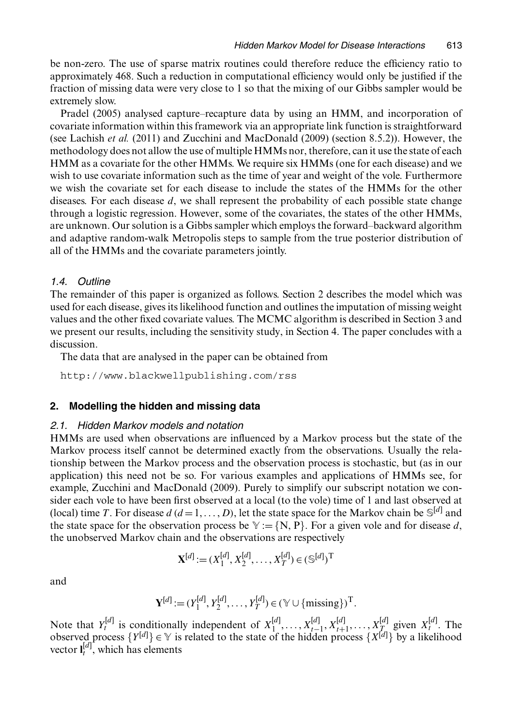be non-zero. The use of sparse matrix routines could therefore reduce the efficiency ratio to approximately 468. Such a reduction in computational efficiency would only be justified if the fraction of missing data were very close to 1 so that the mixing of our Gibbs sampler would be extremely slow.

Pradel (2005) analysed capture–recapture data by using an HMM, and incorporation of covariate information within this framework via an appropriate link function is straightforward (see Lachish *et al.* (2011) and Zucchini and MacDonald (2009) (section 8.5.2)). However, the methodology does not allow the use of multiple HMMs nor, therefore, can it use the state of each HMM as a covariate for the other HMMs. We require six HMMs (one for each disease) and we wish to use covariate information such as the time of year and weight of the vole. Furthermore we wish the covariate set for each disease to include the states of the HMMs for the other diseases. For each disease  $d$ , we shall represent the probability of each possible state change through a logistic regression. However, some of the covariates, the states of the other HMMs, are unknown. Our solution is a Gibbs sampler which employs the forward–backward algorithm and adaptive random-walk Metropolis steps to sample from the true posterior distribution of all of the HMMs and the covariate parameters jointly.

#### *1.4. Outline*

The remainder of this paper is organized as follows. Section 2 describes the model which was used for each disease, gives its likelihood function and outlines the imputation of missing weight values and the other fixed covariate values. The MCMC algorithm is described in Section 3 and we present our results, including the sensitivity study, in Section 4. The paper concludes with a discussion.

The data that are analysed in the paper can be obtained from

http://www.blackwellpublishing.com/rss

## **2. Modelling the hidden and missing data**

#### *2.1. Hidden Markov models and notation*

HMMs are used when observations are influenced by a Markov process but the state of the Markov process itself cannot be determined exactly from the observations. Usually the relationship between the Markov process and the observation process is stochastic, but (as in our application) this need not be so. For various examples and applications of HMMs see, for example, Zucchini and MacDonald (2009). Purely to simplify our subscript notation we consider each vole to have been first observed at a local (to the vole) time of 1 and last observed at (local) time T. For disease  $d$  ( $d = 1, \ldots, D$ ), let the state space for the Markov chain be  $\mathbb{S}^{|d|}$  and the state space for the observation process be  $\mathbb{Y} := \{N, P\}$ . For a given vole and for disease d, the unobserved Markov chain and the observations are respectively

$$
\mathbf{X}^{[d]} := (X_1^{[d]}, X_2^{[d]}, \dots, X_T^{[d]}) \in (\mathbb{S}^{[d]})^{\mathrm{T}}
$$

and

$$
\mathbf{Y}^{[d]} := (Y_1^{[d]}, Y_2^{[d]}, \dots, Y_T^{[d]}) \in (\mathbb{Y} \cup \{\text{missing}\})^T.
$$

Note that  $Y_t^{[d]}$  is conditionally independent of  $X_1^{[d]}, \ldots, X_{t-1}^{[d]}, X_{t+1}^{[d]}, \ldots, X_t^{[d]}$  given  $X_t^{[d]}$ . The observed process  $\{Y^{[d]}\}\in\mathbb{Y}$  is related to the state of the hidden process  $\{X^{[d]}\}\$  by a likelihood vector  $\mathbf{l}_{t}^{[d]}$ , which has elements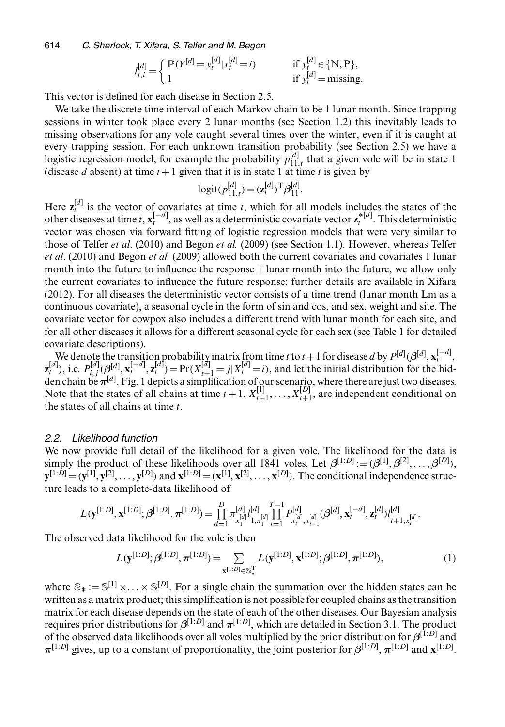614 *C. Sherlock, T. Xifara, S. Telfer and M. Begon*

$$
l_{t,i}^{[d]} = \begin{cases} \mathbb{P}(Y^{[d]} = y_t^{[d]} | x_t^{[d]} = i) & \text{if } y_t^{[d]} \in \{N, P\}, \\ 1 & \text{if } y_t^{[d]} = \text{missing.} \end{cases}
$$

This vector is defined for each disease in Section 2.5.

We take the discrete time interval of each Markov chain to be 1 lunar month. Since trapping sessions in winter took place every 2 lunar months (see Section 1.2) this inevitably leads to missing observations for any vole caught several times over the winter, even if it is caught at every trapping session. For each unknown transition probability (see Section 2.5) we have a logistic regression model; for example the probability  $p_{11,t}^{[d]}$  that a given vole will be in state 1 (disease d absent) at time  $t + 1$  given that it is in state 1 at time t is given by

$$
logit(p_{11,t}^{[d]}) = (\mathbf{z}_t^{[d]})^T \boldsymbol{\beta}_{11}^{[d]}.
$$

Here  $z_t^{[d]}$  is the vector of covariates at time t, which for all models includes the states of the other diseases at time t,  $\mathbf{x}_t^{[-d]}$ , as well as a deterministic covariate vector  $\mathbf{z}_t^{*[d]}$ . This deterministic ovariate vector  $\mathbf{z}_t^{*[d]}$ . vector was chosen via forward fitting of logistic regression models that were very similar to those of Telfer *et al*. (2010) and Begon *et al.* (2009) (see Section 1.1). However, whereas Telfer *et al*. (2010) and Begon *et al.* (2009) allowed both the current covariates and covariates 1 lunar month into the future to influence the response 1 lunar month into the future, we allow only the current covariates to influence the future response; further details are available in Xifara (2012). For all diseases the deterministic vector consists of a time trend (lunar month Lm as a continuous covariate), a seasonal cycle in the form of sin and cos, and sex, weight and site. The covariate vector for cowpox also includes a different trend with lunar month for each site, and for all other diseases it allows for a different seasonal cycle for each sex (see Table 1 for detailed covariate descriptions).

We denote the transition probability matrix from time t to t +1 for disease d by  $P^{[d]}(B^{[d]}, \mathbf{x}_t^{[-d]})$  $\mathbf{z}_t^{[d]}$ , i.e.  $P_{i,j}^{[d]}(\beta^{[d]}, \mathbf{x}_t^{[-d]}, \mathbf{z}_t^{[d]}) = \Pr(X_{t+1}^{[d]} = j | X_t^{[d]} = i)$ , and let the initial distribution for the hidden chain be π<sup>[d]</sup>. Fig. 1 depicts a simplification of our scenario, where there are just two diseases. Note that the states of all chains at time  $t + 1$ ,  $X_{t+1}^{[1]}$ ,  $\ldots$ ,  $X_{t+1}^{[D]}$ , are independent conditional on the states of all chains at time  $t$ .

#### *2.2. Likelihood function*

We now provide full detail of the likelihood for a given vole. The likelihood for the data is simply the product of these likelihoods over all 1841 voles. Let  $\beta^{[1:D]} := (\beta^{[1]}, \beta^{[2]}, \ldots, \beta^{[D]}),$  $\mathbf{y}^{[1:D]} = (\mathbf{y}^{[1]}, \mathbf{y}^{[2]}, \dots, \mathbf{y}^{[D]})$  and  $\mathbf{x}^{[1:D]} = (\mathbf{x}^{[1]}, \mathbf{x}^{[2]}, \dots, \mathbf{x}^{[D]})$ . The conditional independence structure leads to a complete-data likelihood of

$$
L(\mathbf{y}^{[1:D]}, \mathbf{x}^{[1:D]}; \boldsymbol{\beta}^{[1:D]}, \boldsymbol{\pi}^{[1:D]}) = \prod_{d=1}^D \pi^{[d]}_{x_1^{[d]}} I^{[d]}_{1,x_1^{[d]}} \prod_{t=1}^{T-1} P^{[d]}_{x_t^{[d]}, x_{t+1}^{[d]}} (\boldsymbol{\beta}^{[d]}, \mathbf{x}_t^{[-d]}, \mathbf{z}_t^{[d]}) I^{[d]}_{t+1,x_t^{[d]}}.
$$

The observed data likelihood for the vole is then

$$
L(\mathbf{y}^{[1:D]};\beta^{[1:D]},\pi^{[1:D]}) = \sum_{\mathbf{x}^{[1:D]}\in\mathbb{S}_+^{\mathrm{T}}} L(\mathbf{y}^{[1:D]},\mathbf{x}^{[1:D]};\beta^{[1:D]},\pi^{[1:D]}),\tag{1}
$$

where  $\mathbb{S}_* := \mathbb{S}^{[1]} \times \ldots \times \mathbb{S}^{[D]}$ . For a single chain the summation over the hidden states can be written as a matrix product; this simplification is not possible for coupled chains as the transition matrix for each disease depends on the state of each of the other diseases. Our Bayesian analysis requires prior distributions for *β*[1:D] and *π*[1:D] , which are detailed in Section 3.1. The product of the observed data likelihoods over all voles multiplied by the prior distribution for *β*[1:D] and  $\pi^{[1:D]}$  gives, up to a constant of proportionality, the joint posterior for  $\beta^{[1:D]}$ ,  $\pi^{[1:D]}$  and  $\mathbf{x}^{[1:D]}$ .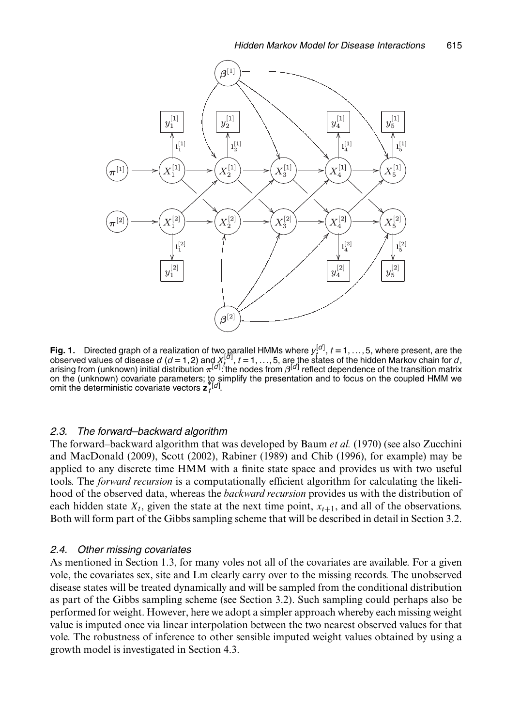

**Fig. 1.** Directed graph of a realization of two parallel HMMs where  $y_t^{[d]}, t = 1, ..., 5$ , where present, are the observed values of disease  $d$  ( $d = 1, 2$ ) and  $X_t^{[d]}, t = 1, ..., 5$ , are the states of the hidden Markov chain for on the (unknown) covariate parameters; to simplify the presentation and to focus on the coupled HMM we<br>omit the deterministic covariate vectors **z** i<sup>[d]</sup>.

## *2.3. The forward–backward algorithm*

The forward–backward algorithm that was developed by Baum *et al.* (1970) (see also Zucchini and MacDonald (2009), Scott (2002), Rabiner (1989) and Chib (1996), for example) may be applied to any discrete time HMM with a finite state space and provides us with two useful tools. The *forward recursion* is a computationally efficient algorithm for calculating the likelihood of the observed data, whereas the *backward recursion* provides us with the distribution of each hidden state  $X_t$ , given the state at the next time point,  $x_{t+1}$ , and all of the observations. Both will form part of the Gibbs sampling scheme that will be described in detail in Section 3.2.

## *2.4. Other missing covariates*

As mentioned in Section 1.3, for many voles not all of the covariates are available. For a given vole, the covariates sex, site and Lm clearly carry over to the missing records. The unobserved disease states will be treated dynamically and will be sampled from the conditional distribution as part of the Gibbs sampling scheme (see Section 3.2). Such sampling could perhaps also be performed for weight. However, here we adopt a simpler approach whereby each missing weight value is imputed once via linear interpolation between the two nearest observed values for that vole. The robustness of inference to other sensible imputed weight values obtained by using a growth model is investigated in Section 4.3.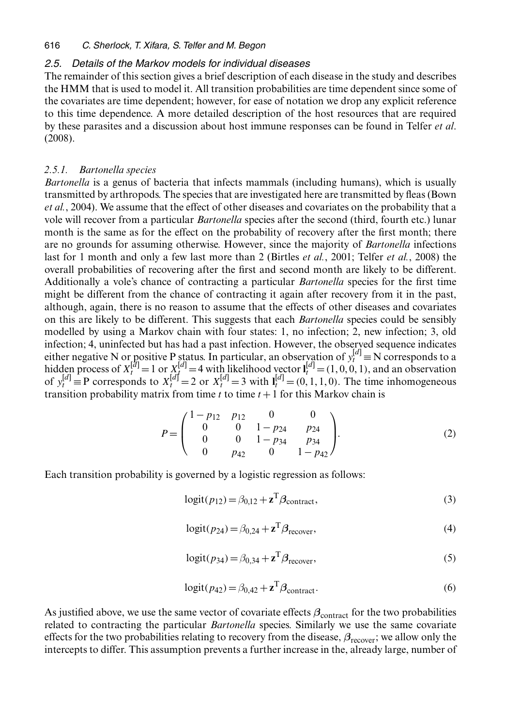#### 616 *C. Sherlock, T. Xifara, S. Telfer and M. Begon*

# *2.5. Details of the Markov models for individual diseases*

The remainder of this section gives a brief description of each disease in the study and describes the HMM that is used to model it. All transition probabilities are time dependent since some of the covariates are time dependent; however, for ease of notation we drop any explicit reference to this time dependence. A more detailed description of the host resources that are required by these parasites and a discussion about host immune responses can be found in Telfer *et al*. (2008).

### *2.5.1. Bartonella species*

*Bartonella* is a genus of bacteria that infects mammals (including humans), which is usually transmitted by arthropods. The species that are investigated here are transmitted by fleas (Bown *et al.*, 2004). We assume that the effect of other diseases and covariates on the probability that a vole will recover from a particular *Bartonella* species after the second (third, fourth etc.) lunar month is the same as for the effect on the probability of recovery after the first month; there are no grounds for assuming otherwise. However, since the majority of *Bartonella* infections last for 1 month and only a few last more than 2 (Birtles *et al.*, 2001; Telfer *et al.*, 2008) the overall probabilities of recovering after the first and second month are likely to be different. Additionally a vole's chance of contracting a particular *Bartonella* species for the first time might be different from the chance of contracting it again after recovery from it in the past, although, again, there is no reason to assume that the effects of other diseases and covariates on this are likely to be different. This suggests that each *Bartonella* species could be sensibly modelled by using a Markov chain with four states: 1, no infection; 2, new infection; 3, old infection; 4, uninfected but has had a past infection. However, the observed sequence indicates either negative N or positive P status. In particular, an observation of  $y_t^{[d]} = N$  corresponds to a hidden process of  $X_t^{[d]} = 1$  or  $X_t^{[d]} = 4$  with likelihood vector  $I_t^{[d]} = (1, 0, 0, 1)$ , and an observation of  $y_t^{[d]} = P$  corresponds to  $X_t^{[d]} = 2$  or  $X_t^{[d]} = 3$  with  $I_t^{[d]} = (0, 1, 1, 0)$ . The time inhomogeneous transition probability matrix from time t to time  $t + 1$  for this Markov chain is

$$
P = \begin{pmatrix} 1 - p_{12} & p_{12} & 0 & 0 \\ 0 & 0 & 1 - p_{24} & p_{24} \\ 0 & 0 & 1 - p_{34} & p_{34} \\ 0 & p_{42} & 0 & 1 - p_{42} \end{pmatrix}.
$$
 (2)

Each transition probability is governed by a logistic regression as follows:

$$
logit(p_{12}) = \beta_{0,12} + \mathbf{z}^{\mathrm{T}} \beta_{\mathrm{contract}},
$$
\n(3)

$$
logit(p_{24}) = \beta_{0,24} + \mathbf{z}^{\mathrm{T}} \beta_{\mathrm{recover}},\tag{4}
$$

$$
logit(p_{34}) = \beta_{0,34} + \mathbf{z}^{\mathrm{T}} \beta_{\mathrm{recover}},\tag{5}
$$

$$
logit(p_{42}) = \beta_{0,42} + \mathbf{z}^{\mathrm{T}} \beta_{\mathrm{contract}}.
$$
 (6)

As justified above, we use the same vector of covariate effects  $\beta_{\text{contract}}$  for the two probabilities related to contracting the particular *Bartonella* species. Similarly we use the same covariate effects for the two probabilities relating to recovery from the disease, *β*recover; we allow only the intercepts to differ. This assumption prevents a further increase in the, already large, number of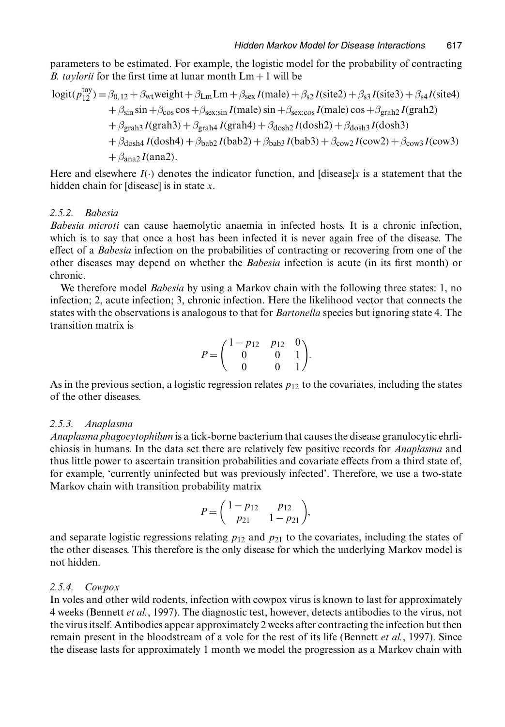parameters to be estimated. For example, the logistic model for the probability of contracting *B. taylorii* for the first time at lunar month  $Lm + 1$  will be

$$
logit(p_{12}^{tay}) = \beta_{0,12} + \beta_{wt} weight + \beta_{Lm} Lm + \beta_{sex} I(male) + \beta_{s2} I(site2) + \beta_{s3} I(site3) + \beta_{s4} I(site4)
$$
  
+  $\beta_{sin} sin + \beta_{cos} cos + \beta_{sex:sin} I(male) sin + \beta_{sex:cos} I(male) cos + \beta_{grah2} I(grah2)$   
+  $\beta_{grah3} I(grah3) + \beta_{grah4} I(grah4) + \beta_{dosh2} I(dosh2) + \beta_{dosh3} I(dosh3)$   
+  $\beta_{dosh4} I(dosh4) + \beta_{bab2} I(bab2) + \beta_{bab3} I(bab3) + \beta_{cow2} I(cow2) + \beta_{cow3} I(cow3)$   
+  $\beta_{ana2} I(ana2).$ 

Here and elsewhere  $I(\cdot)$  denotes the indicator function, and [disease]x is a statement that the hidden chain for [disease] is in state  $x$ .

# *2.5.2. Babesia*

*Babesia microti* can cause haemolytic anaemia in infected hosts. It is a chronic infection, which is to say that once a host has been infected it is never again free of the disease. The effect of a *Babesia* infection on the probabilities of contracting or recovering from one of the other diseases may depend on whether the *Babesia* infection is acute (in its first month) or chronic.

We therefore model *Babesia* by using a Markov chain with the following three states: 1, no infection; 2, acute infection; 3, chronic infection. Here the likelihood vector that connects the states with the observations is analogous to that for *Bartonella* species but ignoring state 4. The transition matrix is

$$
P = \begin{pmatrix} 1 - p_{12} & p_{12} & 0 \\ 0 & 0 & 1 \\ 0 & 0 & 1 \end{pmatrix}.
$$

As in the previous section, a logistic regression relates  $p_{12}$  to the covariates, including the states of the other diseases.

## *2.5.3. Anaplasma*

*Anaplasma phagocytophilum* is a tick-borne bacterium that causes the disease granulocytic ehrlichiosis in humans. In the data set there are relatively few positive records for *Anaplasma* and thus little power to ascertain transition probabilities and covariate effects from a third state of, for example, 'currently uninfected but was previously infected'. Therefore, we use a two-state Markov chain with transition probability matrix

$$
P = \begin{pmatrix} 1 - p_{12} & p_{12} \\ p_{21} & 1 - p_{21} \end{pmatrix},
$$

and separate logistic regressions relating  $p_{12}$  and  $p_{21}$  to the covariates, including the states of the other diseases. This therefore is the only disease for which the underlying Markov model is not hidden.

## *2.5.4. Cowpox*

In voles and other wild rodents, infection with cowpox virus is known to last for approximately 4 weeks (Bennett *et al.*, 1997). The diagnostic test, however, detects antibodies to the virus, not the virus itself. Antibodies appear approximately 2 weeks after contracting the infection but then remain present in the bloodstream of a vole for the rest of its life (Bennett *et al.*, 1997). Since the disease lasts for approximately 1 month we model the progression as a Markov chain with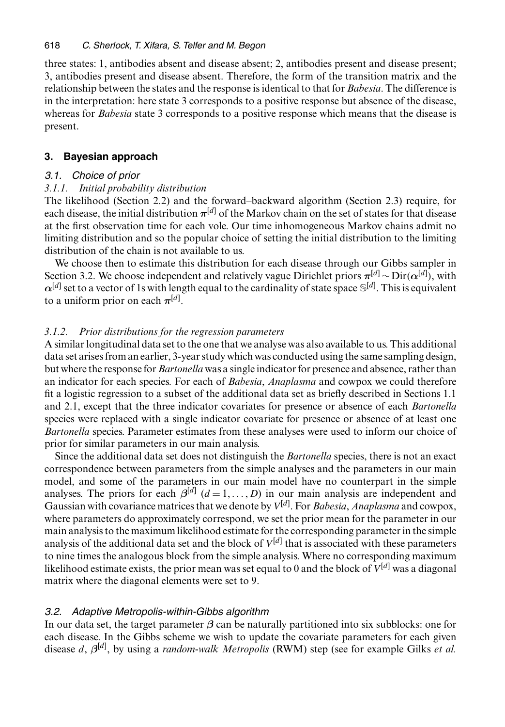three states: 1, antibodies absent and disease absent; 2, antibodies present and disease present; 3, antibodies present and disease absent. Therefore, the form of the transition matrix and the relationship between the states and the response is identical to that for *Babesia*. The difference is in the interpretation: here state 3 corresponds to a positive response but absence of the disease, whereas for *Babesia* state 3 corresponds to a positive response which means that the disease is present.

# **3. Bayesian approach**

## *3.1. Choice of prior*

## *3.1.1. Initial probability distribution*

The likelihood (Section 2.2) and the forward–backward algorithm (Section 2.3) require, for each disease, the initial distribution  $\pi^{[d]}$  of the Markov chain on the set of states for that disease at the first observation time for each vole. Our time inhomogeneous Markov chains admit no limiting distribution and so the popular choice of setting the initial distribution to the limiting distribution of the chain is not available to us.

We choose then to estimate this distribution for each disease through our Gibbs sampler in Section 3.2. We choose independent and relatively vague Dirichlet priors  $\pi^{[d]} \sim \text{Dir}(\alpha^{[d]})$ , with  $\alpha^{[d]}$  set to a vector of 1s with length equal to the cardinality of state space S<sup>[d]</sup>. This is equivalent to a uniform prior on each *π*[d] .

#### *3.1.2. Prior distributions for the regression parameters*

A similar longitudinal data set to the one that we analyse was also available to us. This additional data set arises from an earlier, 3-year study which was conducted using the same sampling design, but where the response for*Bartonella* was a single indicator for presence and absence, rather than an indicator for each species. For each of *Babesia*, *Anaplasma* and cowpox we could therefore fit a logistic regression to a subset of the additional data set as briefly described in Sections 1.1 and 2.1, except that the three indicator covariates for presence or absence of each *Bartonella* species were replaced with a single indicator covariate for presence or absence of at least one *Bartonella* species. Parameter estimates from these analyses were used to inform our choice of prior for similar parameters in our main analysis.

Since the additional data set does not distinguish the *Bartonella* species, there is not an exact correspondence between parameters from the simple analyses and the parameters in our main model, and some of the parameters in our main model have no counterpart in the simple analyses. The priors for each  $\beta^{[d]}$  ( $d = 1, \ldots, D$ ) in our main analysis are independent and Gaussian with covariance matrices that we denote by  $V^{[d]}$ . For *Babesia, Anaplasma* and cowpox, where parameters do approximately correspond, we set the prior mean for the parameter in our main analysis to the maximum likelihood estimate for the corresponding parameter in the simple analysis of the additional data set and the block of  $V^{[d]}$  that is associated with these parameters to nine times the analogous block from the simple analysis. Where no corresponding maximum likelihood estimate exists, the prior mean was set equal to 0 and the block of  $V^{[d]}$  was a diagonal matrix where the diagonal elements were set to 9.

## *3.2. Adaptive Metropolis-within-Gibbs algorithm*

In our data set, the target parameter *β* can be naturally partitioned into six subblocks: one for each disease. In the Gibbs scheme we wish to update the covariate parameters for each given disease d, *β*[d] , by using a *random-walk Metropolis* (RWM) step (see for example Gilks *et al.*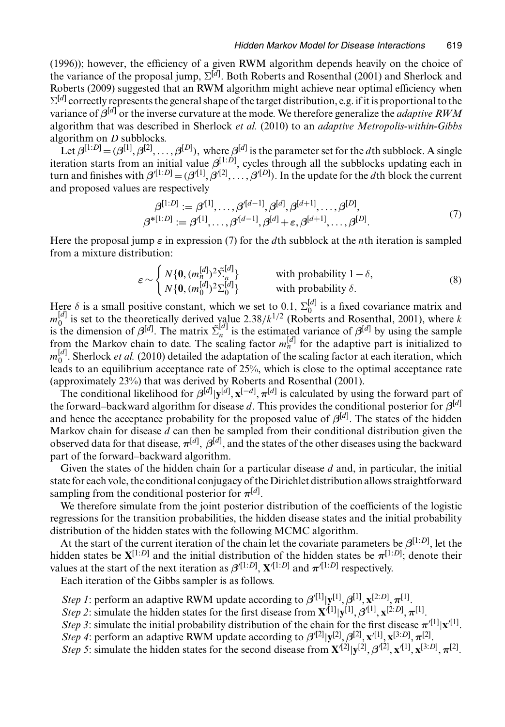(1996)); however, the efficiency of a given RWM algorithm depends heavily on the choice of the variance of the proposal jump,  $\Sigma^{[d]}$ . Both Roberts and Rosenthal (2001) and Sherlock and Roberts (2009) suggested that an RWM algorithm might achieve near optimal efficiency when  $\Sigma^{[d]}$  correctly represents the general shape of the target distribution, e.g. if it is proportional to the variance of *β*[d] or the inverse curvature at the mode. We therefore generalize the *adaptive RWM* algorithm that was described in Sherlock *et al.* (2010) to an *adaptive Metropolis-within-Gibbs* algorithm on D subblocks.

Let  $\beta^{[1:D]} = (\beta^{[1]}, \beta^{[2]}, \dots, \beta^{[D]})$ , where  $\beta^{[d]}$  is the parameter set for the *d*th subblock. A single iteration starts from an initial value  $\beta^{[1:D]}$ , cycles through all the subblocks updating each in turn and finishes with  $\beta^{([1:D]} = (\beta^{([1]}, \beta^{([2]}, \ldots, \beta^{([D]}))$ . In the update for the *d*th block the current and proposed values are respectively

$$
\beta^{[1:D]} := \beta'^{[1]}, \dots, \beta'^{[d-1]}, \beta^{[d]}, \beta^{[d+1]}, \dots, \beta^{[D]},
$$
  

$$
\beta^{*[1:D]} := \beta'^{[1]}, \dots, \beta'^{[d-1]}, \beta^{[d]} + \varepsilon, \beta^{[d+1]}, \dots, \beta^{[D]}.
$$
 (7)

Here the proposal jump  $\varepsilon$  in expression (7) for the dth subblock at the *n*th iteration is sampled from a mixture distribution:

$$
\varepsilon \sim \begin{cases} N\{0, (m_n^{[d]})^2 \tilde{\Sigma}_n^{[d]}\} & \text{with probability } 1 - \delta, \\ N\{0, (m_0^{[d]})^2 \Sigma_0^{[d]}\} & \text{with probability } \delta. \end{cases}
$$
(8)

Here  $\delta$  is a small positive constant, which we set to 0.1,  $\Sigma_0^{[d]}$  is a fixed covariance matrix and  $m_0^{[d]}$  is set to the theoretically derived value 2.38/ $k^{1/2}$  (Roberts and Rosenthal, 2001), where k is set to the theoretically derived that  $\Sigma_n^{[d]}$  is the estimated variance of  $\beta^{[d]}$  by using the sample from the Markov chain to date. The scaling factor  $m_n^{[d]}$  for the adaptive part is initialized to  $m_0^{[d]}$ . Sherlock *et al.* (2010) detailed the adaptation of the scaling factor at each iteration, which leads to an equilibrium acceptance rate of 25%, which is close to the optimal acceptance rate (approximately 23%) that was derived by Roberts and Rosenthal (2001).

The conditional likelihood for  $\beta^{[d]} | y^{[d]}$ ,  $x^{[-d]}$ ,  $\pi^{[d]}$  is calculated by using the forward part of the forward–backward algorithm for disease d. This provides the conditional posterior for *β*[d] and hence the acceptance probability for the proposed value of  $\beta^{[d]}$ . The states of the hidden Markov chain for disease  $d$  can then be sampled from their conditional distribution given the observed data for that disease,  $\pi^{[d]}$ ,  $\beta^{[d]}$ , and the states of the other diseases using the backward part of the forward–backward algorithm.

Given the states of the hidden chain for a particular disease  $d$  and, in particular, the initial state for each vole, the conditional conjugacy of the Dirichlet distribution allows straightforward sampling from the conditional posterior for *π*[d] .

We therefore simulate from the joint posterior distribution of the coefficients of the logistic regressions for the transition probabilities, the hidden disease states and the initial probability distribution of the hidden states with the following MCMC algorithm.

At the start of the current iteration of the chain let the covariate parameters be  $\beta$ <sup>[1:*D*]</sup>, let the hidden states be **X**[1:D] and the initial distribution of the hidden states be *π*[1:D] ; denote their values at the start of the next iteration as  $\beta^{l[1:D]}$ ,  $\mathbf{X}^{l[1:D]}$  and  $\pi^{l[1:D]}$  respectively.

Each iteration of the Gibbs sampler is as follows.

*Step 1*: perform an adaptive RWM update according to  $\beta^{\prime[1]}[y^{[1]}, \beta^{[1]}, x^{[2:D]}, \pi^{[1]}]$ .

*Step 2*: simulate the hidden states for the first disease from  $\mathbf{X}^{(1)}|\mathbf{y}^{(1)}, \beta^{(1)}, \mathbf{x}^{(2:D)}, \pi^{[1]}$ .

*Step 3*: simulate the initial probability distribution of the chain for the first disease  $\pi^{[1]}|{\bf x}^{[1]}$ . *Step 4*: perform an adaptive RWM update according to  $\beta^{\prime[2]}|y^{[2]}, \beta^{[2]}, x^{\prime[1]}, x^{[3:D]}, \pi^{[2]}$ 

*Step 5*: simulate the hidden states for the second disease from  $\mathbf{X}^{[2]}|\mathbf{y}^{[2]}, \beta^{[2]}, \mathbf{x}^{[1]}, \mathbf{x}^{[3:D]}, \pi^{[2]}$ .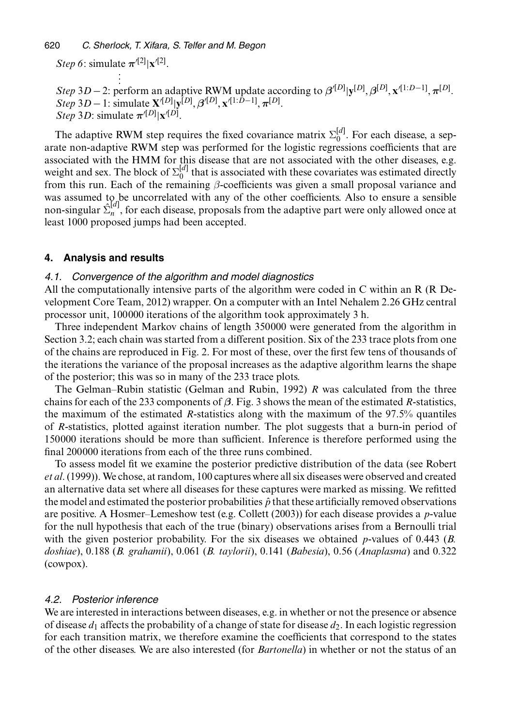*Step 6*: simulate  $\pi^{/[2]}|x^{/[2]}$ . :

:

*Step* 3*D* − 2: perform an adaptive RWM update according to  $\beta^{[D]} | \mathbf{y}^{[D]}, \beta^{[D]}, \mathbf{x}^{[1:D-1]}, \pi^{[D]}$ .  $Step 3D - 1$ : simulate  $\mathbf{X}^{[D]}|\mathbf{y}^{[D]}, \beta^{[D]}, \mathbf{x}^{[1:D-1]}, \pi^{[D]}.$ *Step* 3*D*: simulate  $\pi^{[D]} | \mathbf{x}^{[D]}$ .

The adaptive RWM step requires the fixed covariance matrix  $\Sigma_0^{[d]}$ . For each disease, a separate non-adaptive RWM step was performed for the logistic regressions coefficients that are associated with the HMM for this disease that are not associated with the other diseases, e.g. weight and sex. The block of  $\Sigma_0^{[d]}$  that is associated with these covariates was estimated directly from this run. Each of the remaining  $\beta$ -coefficients was given a small proposal variance and was assumed to be uncorrelated with any of the other coefficients. Also to ensure a sensible non-singular  $\hat{\Sigma}_n^{[d]}$ , for each disease, proposals from the adaptive part were only allowed once at least 1000 proposed jumps had been accepted.

#### **4. Analysis and results**

#### *4.1. Convergence of the algorithm and model diagnostics*

All the computationally intensive parts of the algorithm were coded in C within an R (R Development Core Team, 2012) wrapper. On a computer with an Intel Nehalem 2.26 GHz central processor unit, 100000 iterations of the algorithm took approximately 3 h.

Three independent Markov chains of length 350000 were generated from the algorithm in Section 3.2; each chain was started from a different position. Six of the 233 trace plots from one of the chains are reproduced in Fig. 2. For most of these, over the first few tens of thousands of the iterations the variance of the proposal increases as the adaptive algorithm learns the shape of the posterior; this was so in many of the 233 trace plots.

The Gelman–Rubin statistic (Gelman and Rubin, 1992) R was calculated from the three chains for each of the 233 components of *β*. Fig. 3 shows the mean of the estimated R-statistics, the maximum of the estimated R-statistics along with the maximum of the 97.5% quantiles of R-statistics, plotted against iteration number. The plot suggests that a burn-in period of 150000 iterations should be more than sufficient. Inference is therefore performed using the final 200000 iterations from each of the three runs combined.

To assess model fit we examine the posterior predictive distribution of the data (see Robert *et al*. (1999)). We chose, at random, 100 captures where all six diseases were observed and created an alternative data set where all diseases for these captures were marked as missing. We refitted the model and estimated the posterior probabilities  $\hat{p}$  that these artificially removed observations are positive. A Hosmer–Lemeshow test (e.g. Collett (2003)) for each disease provides a p-value for the null hypothesis that each of the true (binary) observations arises from a Bernoulli trial with the given posterior probability. For the six diseases we obtained p-values of 0:443 (*B. doshiae*), 0.188 (*B. grahamii*), 0.061 (*B. taylorii*), 0.141 (*Babesia*), 0.56 (*Anaplasma*) and 0.322 (cowpox).

#### *4.2. Posterior inference*

We are interested in interactions between diseases, e.g. in whether or not the presence or absence of disease  $d_1$  affects the probability of a change of state for disease  $d_2$ . In each logistic regression for each transition matrix, we therefore examine the coefficients that correspond to the states of the other diseases. We are also interested (for *Bartonella*) in whether or not the status of an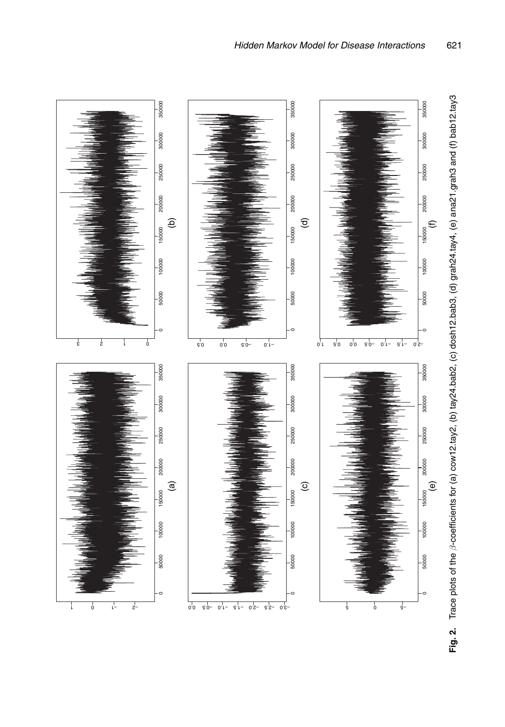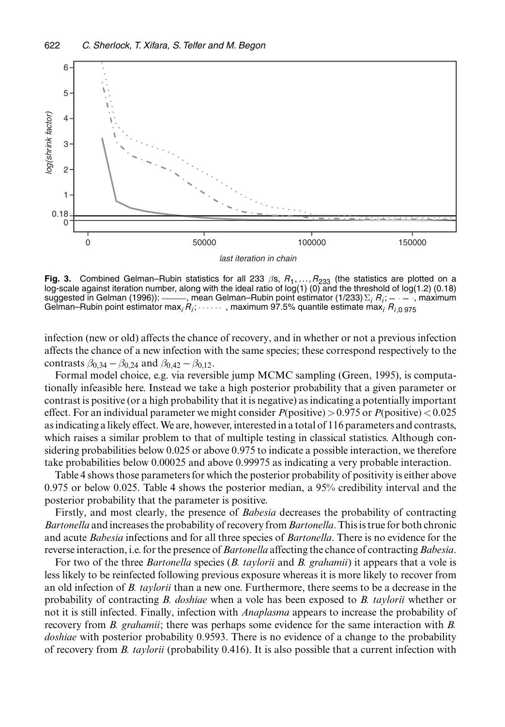

**Fig. 3.** Combined Gelman–Rubin statistics for all 233  $\beta$ s,  $R_1, \ldots, R_{233}$  (the statistics are plotted on a log-scale against iteration number, along with the ideal ratio of log(1) (0) and the threshold of log(1.2) (0.18) suggested in Gelman (1996)): \_\_\_\_\_, mean Gelman-Rubin point estimator (1/233)  $\sum_i R_{i,i}$  \_\_\_\_, maximum -, mean Gelman–Rubin point estimator (1/233)Σ*<sub>i</sub> R<sub>i</sub>*; – ⋅ – ⋅, maximum Gelman–Rubin point estimator max<sub>i</sub>  $R_i$ ; ......, maximum 97.5% quantile estimate max<sub>i</sub>  $R_{i,0.975}$ 

infection (new or old) affects the chance of recovery, and in whether or not a previous infection affects the chance of a new infection with the same species; these correspond respectively to the contrasts  $\beta_{0.34} - \beta_{0.24}$  and  $\beta_{0.42} - \beta_{0.12}$ .

Formal model choice, e.g. via reversible jump MCMC sampling (Green, 1995), is computationally infeasible here. Instead we take a high posterior probability that a given parameter or contrast is positive (or a high probability that it is negative) as indicating a potentially important effect. For an individual parameter we might consider  $P($ positive $) > 0.975$  or  $P($ positive $) < 0.025$ as indicating a likely effect.We are, however, interested in a total of 116 parameters and contrasts, which raises a similar problem to that of multiple testing in classical statistics. Although considering probabilities below 0.025 or above 0.975 to indicate a possible interaction, we therefore take probabilities below 0:00025 and above 0:99975 as indicating a very probable interaction.

Table 4 shows those parameters for which the posterior probability of positivity is either above 0:975 or below 0:025. Table 4 shows the posterior median, a 95% credibility interval and the posterior probability that the parameter is positive.

Firstly, and most clearly, the presence of *Babesia* decreases the probability of contracting *Bartonella* and increases the probability of recovery from *Bartonella*. This is true for both chronic and acute *Babesia* infections and for all three species of *Bartonella*. There is no evidence for the reverse interaction, i.e. for the presence of*Bartonella* affecting the chance of contracting*Babesia*.

For two of the three *Bartonella* species (*B. taylorii* and *B. grahamii*) it appears that a vole is less likely to be reinfected following previous exposure whereas it is more likely to recover from an old infection of *B. taylorii* than a new one. Furthermore, there seems to be a decrease in the probability of contracting *B. doshiae* when a vole has been exposed to *B. taylorii* whether or not it is still infected. Finally, infection with *Anaplasma* appears to increase the probability of recovery from *B. grahamii*; there was perhaps some evidence for the same interaction with *B. doshiae* with posterior probability 0.9593. There is no evidence of a change to the probability of recovery from *B. taylorii* (probability 0.416). It is also possible that a current infection with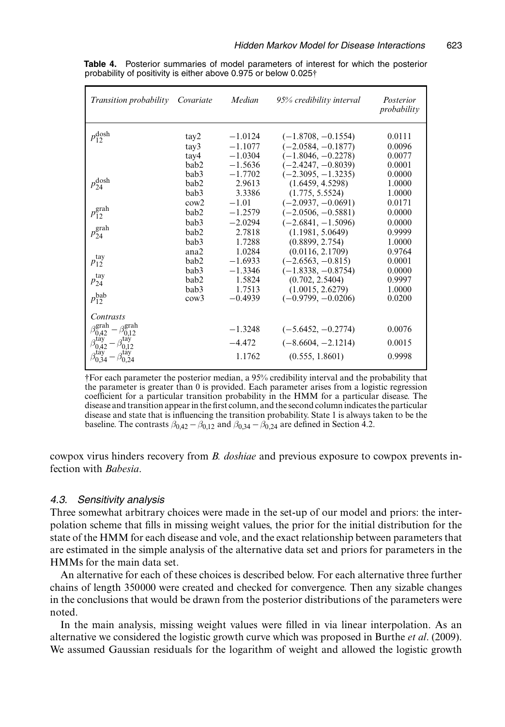| Transition probability                                   | Covariate        | Median    | 95% credibility interval | Posterior<br>probability |
|----------------------------------------------------------|------------------|-----------|--------------------------|--------------------------|
| $p_{12}^{\text{dosh}}$                                   | tay2             | $-1.0124$ | $(-1.8708, -0.1554)$     | 0.0111                   |
|                                                          | tay3             | $-1.1077$ | $(-2.0584, -0.1877)$     | 0.0096                   |
|                                                          | tay4             | $-1.0304$ | $(-1.8046, -0.2278)$     | 0.0077                   |
|                                                          | bab2             | $-1.5636$ | $(-2.4247, -0.8039)$     | 0.0001                   |
|                                                          | bab3             | $-1.7702$ | $(-2.3095, -1.3235)$     | 0.0000                   |
| $p_{24}^{\text{dosh}}$                                   | bab2             | 2.9613    | (1.6459, 4.5298)         | 1.0000                   |
|                                                          | bab <sub>3</sub> | 3.3386    | (1.775, 5.5524)          | 1.0000                   |
|                                                          | cov2             | $-1.01$   | $(-2.0937, -0.0691)$     | 0.0171                   |
| $p_{12}^{\text{graph}}$                                  | bab2             | $-1.2579$ | $(-2.0506, -0.5881)$     | 0.0000                   |
|                                                          | bab <sub>3</sub> | $-2.0294$ | $(-2.6841, -1.5096)$     | 0.0000                   |
| $p_{24}^{\text{graph}}$                                  | bab2             | 2.7818    | (1.1981, 5.0649)         | 0.9999                   |
|                                                          | bab3             | 1.7288    | (0.8899, 2.754)          | 1.0000                   |
|                                                          | ana2             | 1.0284    | (0.0116, 2.1709)         | 0.9764                   |
| $p_{12}^{\text{tay}}$                                    | bab2             | $-1.6933$ | $(-2.6563, -0.815)$      | 0.0001                   |
|                                                          | bab <sub>3</sub> | $-1.3346$ | $(-1.8338, -0.8754)$     | 0.0000                   |
| $p_{24}^{\text{tay}}$                                    | bab2             | 1.5824    | (0.702, 2.5404)          | 0.9997                   |
|                                                          | bab <sub>3</sub> | 1.7513    | (1.0015, 2.6279)         | 1.0000                   |
| $p_{12}^{\rm bab}$                                       | cov <sub>3</sub> | $-0.4939$ | $(-0.9799, -0.0206)$     | 0.0200                   |
| Contrasts                                                |                  |           |                          |                          |
| ,grah<br>,grah<br>$\frac{1}{2}$ <sub>0,12</sub><br>'0.42 |                  | $-1.3248$ | $(-5.6452, -0.2774)$     | 0.0076                   |
| .tav<br>∍tay<br>042<br>$^{\prime}$ 0.12                  |                  | $-4.472$  | $(-8.6604, -2.1214)$     | 0.0015                   |
| ,tay<br>0,24                                             |                  | 1.1762    | (0.555, 1.8601)          | 0.9998                   |

**Table 4.** Posterior summaries of model parameters of interest for which the posterior probability of positivity is either above 0.975 or below 0.025†

†For each parameter the posterior median, a 95% credibility interval and the probability that the parameter is greater than 0 is provided. Each parameter arises from a logistic regression coefficient for a particular transition probability in the HMM for a particular disease. The disease and transition appear in the first column, and the second column indicates the particular disease and state that is influencing the transition probability. State 1 is always taken to be the baseline. The contrasts  $\beta_{0,42} - \beta_{0,12}$  and  $\beta_{0,34} - \beta_{0,24}$  are defined in Section 4.2.

cowpox virus hinders recovery from *B. doshiae* and previous exposure to cowpox prevents infection with *Babesia*.

## *4.3. Sensitivity analysis*

Three somewhat arbitrary choices were made in the set-up of our model and priors: the interpolation scheme that fills in missing weight values, the prior for the initial distribution for the state of the HMM for each disease and vole, and the exact relationship between parameters that are estimated in the simple analysis of the alternative data set and priors for parameters in the HMMs for the main data set.

An alternative for each of these choices is described below. For each alternative three further chains of length 350000 were created and checked for convergence. Then any sizable changes in the conclusions that would be drawn from the posterior distributions of the parameters were noted.

In the main analysis, missing weight values were filled in via linear interpolation. As an alternative we considered the logistic growth curve which was proposed in Burthe *et al*. (2009). We assumed Gaussian residuals for the logarithm of weight and allowed the logistic growth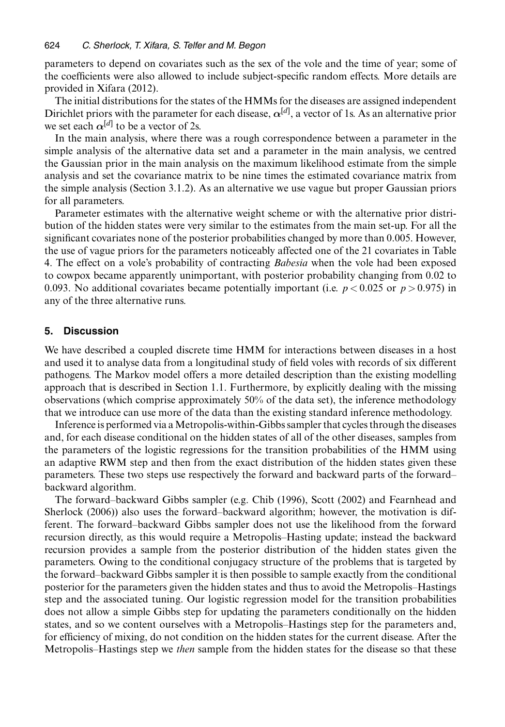parameters to depend on covariates such as the sex of the vole and the time of year; some of the coefficients were also allowed to include subject-specific random effects. More details are provided in Xifara (2012).

The initial distributions for the states of the HMMs for the diseases are assigned independent Dirichlet priors with the parameter for each disease,  $\alpha^{[d]}$ , a vector of 1s. As an alternative prior we set each  $\alpha^{[d]}$  to be a vector of 2s.

In the main analysis, where there was a rough correspondence between a parameter in the simple analysis of the alternative data set and a parameter in the main analysis, we centred the Gaussian prior in the main analysis on the maximum likelihood estimate from the simple analysis and set the covariance matrix to be nine times the estimated covariance matrix from the simple analysis (Section 3.1.2). As an alternative we use vague but proper Gaussian priors for all parameters.

Parameter estimates with the alternative weight scheme or with the alternative prior distribution of the hidden states were very similar to the estimates from the main set-up. For all the significant covariates none of the posterior probabilities changed by more than 0.005. However, the use of vague priors for the parameters noticeably affected one of the 21 covariates in Table 4. The effect on a vole's probability of contracting *Babesia* when the vole had been exposed to cowpox became apparently unimportant, with posterior probability changing from 0:02 to 0.093. No additional covariates became potentially important (i.e.  $p < 0.025$  or  $p > 0.975$ ) in any of the three alternative runs.

#### **5. Discussion**

We have described a coupled discrete time HMM for interactions between diseases in a host and used it to analyse data from a longitudinal study of field voles with records of six different pathogens. The Markov model offers a more detailed description than the existing modelling approach that is described in Section 1.1. Furthermore, by explicitly dealing with the missing observations (which comprise approximately 50% of the data set), the inference methodology that we introduce can use more of the data than the existing standard inference methodology.

Inference is performed via aMetropolis-within-Gibbs sampler that cycles through the diseases and, for each disease conditional on the hidden states of all of the other diseases, samples from the parameters of the logistic regressions for the transition probabilities of the HMM using an adaptive RWM step and then from the exact distribution of the hidden states given these parameters. These two steps use respectively the forward and backward parts of the forward– backward algorithm.

The forward–backward Gibbs sampler (e.g. Chib (1996), Scott (2002) and Fearnhead and Sherlock (2006)) also uses the forward–backward algorithm; however, the motivation is different. The forward–backward Gibbs sampler does not use the likelihood from the forward recursion directly, as this would require a Metropolis–Hasting update; instead the backward recursion provides a sample from the posterior distribution of the hidden states given the parameters. Owing to the conditional conjugacy structure of the problems that is targeted by the forward–backward Gibbs sampler it is then possible to sample exactly from the conditional posterior for the parameters given the hidden states and thus to avoid the Metropolis–Hastings step and the associated tuning. Our logistic regression model for the transition probabilities does not allow a simple Gibbs step for updating the parameters conditionally on the hidden states, and so we content ourselves with a Metropolis–Hastings step for the parameters and, for efficiency of mixing, do not condition on the hidden states for the current disease. After the Metropolis–Hastings step we *then* sample from the hidden states for the disease so that these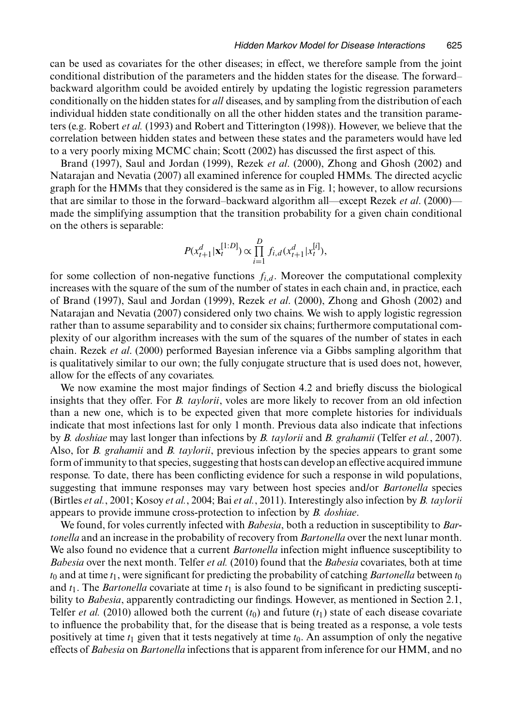can be used as covariates for the other diseases; in effect, we therefore sample from the joint conditional distribution of the parameters and the hidden states for the disease. The forward– backward algorithm could be avoided entirely by updating the logistic regression parameters conditionally on the hidden states for *all* diseases, and by sampling from the distribution of each individual hidden state conditionally on all the other hidden states and the transition parameters (e.g. Robert *et al.* (1993) and Robert and Titterington (1998)). However, we believe that the correlation between hidden states and between these states and the parameters would have led to a very poorly mixing MCMC chain; Scott (2002) has discussed the first aspect of this.

Brand (1997), Saul and Jordan (1999), Rezek *et al*. (2000), Zhong and Ghosh (2002) and Natarajan and Nevatia (2007) all examined inference for coupled HMMs. The directed acyclic graph for the HMMs that they considered is the same as in Fig. 1; however, to allow recursions that are similar to those in the forward–backward algorithm all—except Rezek *et al*. (2000) made the simplifying assumption that the transition probability for a given chain conditional on the others is separable:

$$
P(x_{t+1}^d | \mathbf{x}_t^{[1:D]}) \propto \prod_{i=1}^D f_{i,d}(x_{t+1}^d | x_t^{[i]}),
$$

for some collection of non-negative functions  $f_{i,d}$ . Moreover the computational complexity increases with the square of the sum of the number of states in each chain and, in practice, each of Brand (1997), Saul and Jordan (1999), Rezek *et al*. (2000), Zhong and Ghosh (2002) and Natarajan and Nevatia (2007) considered only two chains. We wish to apply logistic regression rather than to assume separability and to consider six chains; furthermore computational complexity of our algorithm increases with the sum of the squares of the number of states in each chain. Rezek *et al*. (2000) performed Bayesian inference via a Gibbs sampling algorithm that is qualitatively similar to our own; the fully conjugate structure that is used does not, however, allow for the effects of any covariates.

We now examine the most major findings of Section 4.2 and briefly discuss the biological insights that they offer. For *B. taylorii*, voles are more likely to recover from an old infection than a new one, which is to be expected given that more complete histories for individuals indicate that most infections last for only 1 month. Previous data also indicate that infections by *B. doshiae* may last longer than infections by *B. taylorii* and *B. grahamii* (Telfer *et al.*, 2007). Also, for *B. grahamii* and *B. taylorii*, previous infection by the species appears to grant some form of immunity to that species, suggesting that hosts can develop an effective acquired immune response. To date, there has been conflicting evidence for such a response in wild populations, suggesting that immune responses may vary between host species and/or *Bartonella* species (Birtles *et al.*, 2001; Kosoy *et al.*, 2004; Bai *et al.*, 2011). Interestingly also infection by *B. taylorii* appears to provide immune cross-protection to infection by *B. doshiae*.

We found, for voles currently infected with *Babesia*, both a reduction in susceptibility to *Bartonella* and an increase in the probability of recovery from *Bartonella* over the next lunar month. We also found no evidence that a current *Bartonella* infection might influence susceptibility to *Babesia* over the next month. Telfer *et al.* (2010) found that the *Babesia* covariates, both at time  $t_0$  and at time  $t_1$ , were significant for predicting the probability of catching *Bartonella* between  $t_0$ and  $t_1$ . The *Bartonella* covariate at time  $t_1$  is also found to be significant in predicting susceptibility to *Babesia*, apparently contradicting our findings. However, as mentioned in Section 2.1, Telfer *et al.* (2010) allowed both the current  $(t_0)$  and future  $(t_1)$  state of each disease covariate to influence the probability that, for the disease that is being treated as a response, a vole tests positively at time  $t_1$  given that it tests negatively at time  $t_0$ . An assumption of only the negative effects of *Babesia* on *Bartonella* infections that is apparent from inference for our HMM, and no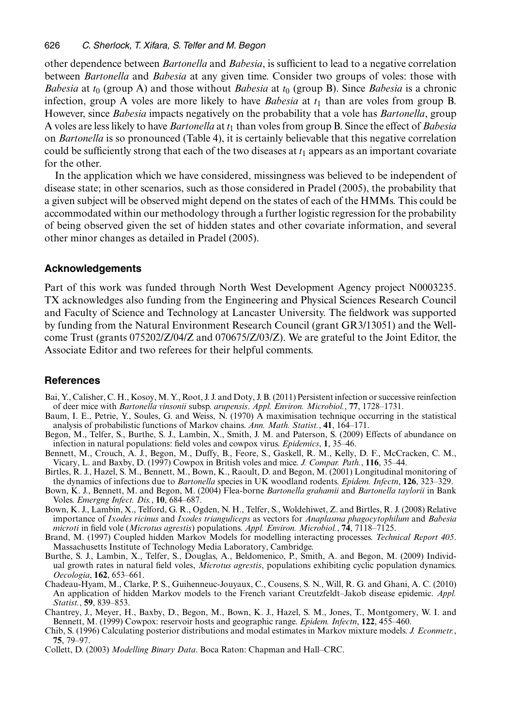other dependence between *Bartonella* and *Babesia*, is sufficient to lead to a negative correlation between *Bartonella* and *Babesia* at any given time. Consider two groups of voles: those with *Babesia* at  $t_0$  (group A) and those without *Babesia* at  $t_0$  (group B). Since *Babesia* is a chronic infection, group A voles are more likely to have *Babesia* at  $t_1$  than are voles from group B. However, since *Babesia* impacts negatively on the probability that a vole has *Bartonella*, group A voles are less likely to have *Bartonella* at  $t_1$  than voles from group B. Since the effect of *Babesia* on *Bartonella* is so pronounced (Table 4), it is certainly believable that this negative correlation could be sufficiently strong that each of the two diseases at  $t_1$  appears as an important covariate for the other.

In the application which we have considered, missingness was believed to be independent of disease state; in other scenarios, such as those considered in Pradel (2005), the probability that a given subject will be observed might depend on the states of each of the HMMs. This could be accommodated within our methodology through a further logistic regression for the probability of being observed given the set of hidden states and other covariate information, and several other minor changes as detailed in Pradel (2005).

## **Acknowledgements**

Part of this work was funded through North West Development Agency project N0003235. TX acknowledges also funding from the Engineering and Physical Sciences Research Council and Faculty of Science and Technology at Lancaster University. The fieldwork was supported by funding from the Natural Environment Research Council (grant GR3/13051) and the Wellcome Trust (grants 075202/Z/04/Z and 070675/Z/03/Z). We are grateful to the Joint Editor, the Associate Editor and two referees for their helpful comments.

#### **References**

- Bai, Y., Calisher, C. H., Kosoy, M. Y., Root, J. J. and Doty, J. B. (2011) Persistent infection or successive reinfection of deer mice with *Bartonella vinsonii* subsp. *arupensis*. *Appl. Environ. Microbiol.*, **77**, 1728–1731.
- Baum, I. E., Petrie, Y., Soules, G. and Weiss, N. (1970) A maximisation technique occurring in the statistical analysis of probabilistic functions of Markov chains. *Ann. Math. Statist.*, **41**, 164–171.
- Begon, M., Telfer, S., Burthe, S. J., Lambin, X., Smith, J. M. and Paterson, S. (2009) Effects of abundance on infection in natural populations: field voles and cowpox virus. *Epidemics*, **1**, 35–46.
- Bennett, M., Crouch, A. J., Begon, M., Duffy, B., Feore, S., Gaskell, R. M., Kelly, D. F., McCracken, C. M., Vicary, L. and Baxby, D. (1997) Cowpox in British voles and mice. *J. Compar. Path.*, **116**, 35–44.
- Birtles, R. J., Hazel, S. M., Bennett, M., Bown, K., Raoult, D. and Begon, M. (2001) Longitudinal monitoring of the dynamics of infections due to *Bartonella* species in UK woodland rodents. *Epidem. Infectn*, **126**, 323–329.
- Bown, K. J., Bennett, M. and Begon, M. (2004) Flea-borne *Bartonella grahamii* and *Bartonella taylorii* in Bank Voles. *Emergng Infect. Dis.*, **10**, 684–687.
- Bown, K. J., Lambin, X., Telford, G. R., Ogden, N. H., Telfer, S., Woldehiwet, Z. and Birtles, R. J. (2008) Relative importance of *Ixodes ricinus* and *Ixodes trianguliceps* as vectors for *Anaplasma phagocytophilum* and *Babesia microti* in field vole (*Microtus agrestis*) populations. *Appl. Environ. Microbiol.*, **74**, 7118–7125.
- Brand, M. (1997) Coupled hidden Markov Models for modelling interacting processes. *Technical Report 405*. Massachusetts Institute of Technology Media Laboratory, Cambridge.
- Burthe, S. J., Lambin, X., Telfer, S., Douglas, A., Beldomenico, P., Smith, A. and Begon, M. (2009) Individual growth rates in natural field voles, *Microtus agrestis*, populations exhibiting cyclic population dynamics. *Oecologia*, **162**, 653–661.
- Chadeau-Hyam, M., Clarke, P. S., Guihenneuc-Jouyaux, C., Cousens, S. N., Will, R. G. and Ghani, A. C. (2010) An application of hidden Markov models to the French variant Creutzfeldt–Jakob disease epidemic. *Appl. Statist.*, **59**, 839–853.
- Chantrey, J., Meyer, H., Baxby, D., Begon, M., Bown, K. J., Hazel, S. M., Jones, T., Montgomery, W. I. and Bennett, M. (1999) Cowpox: reservoir hosts and geographic range. *Epidem. Infectn*, **122**, 455–460.
- Chib, S. (1996) Calculating posterior distributions and modal estimates in Markov mixture models. *J. Econmetr.*, **75**, 79–97.
- Collett, D. (2003) *Modelling Binary Data*. Boca Raton: Chapman and Hall–CRC.